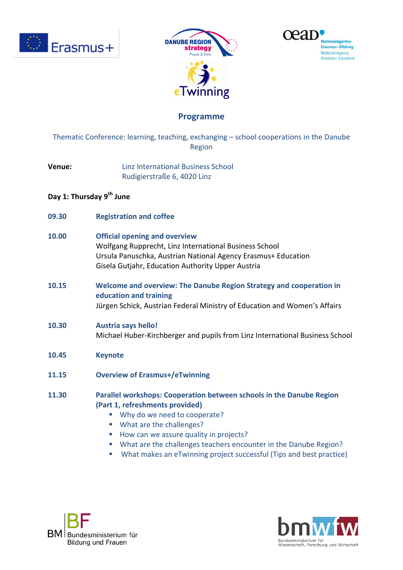





# **Programme**

Thematic Conference: learning, teaching, exchanging – school cooperations in the Danube Region

**Venue:** Linz International Business School Rudigierstraße 6, 4020 Linz

### **Day 1: Thursday 9 th June**

**09.30 Registration and coffee**

### **10.00 Official opening and overview**

Wolfgang Rupprecht, Linz International Business School Ursula Panuschka, Austrian National Agency Erasmus+ Education Gisela Gutjahr, Education Authority Upper Austria

**10.15 Welcome and overview: The Danube Region Strategy and cooperation in education and training** Jürgen Schick, Austrian Federal Ministry of Education and Women's Affairs

#### **10.30 Austria says hello!** Michael Huber-Kirchberger and pupils from Linz International Business School

- **10.45 Keynote**
- **11.15 Overview of Erasmus+/eTwinning**
- **11.30 Parallel workshops: Cooperation between schools in the Danube Region (Part 1, refreshments provided)**
	- Why do we need to cooperate?
	- What are the challenges?
	- How can we assure quality in projects?
	- What are the challenges teachers encounter in the Danube Region?
	- What makes an eTwinning project successful (Tips and best practice)